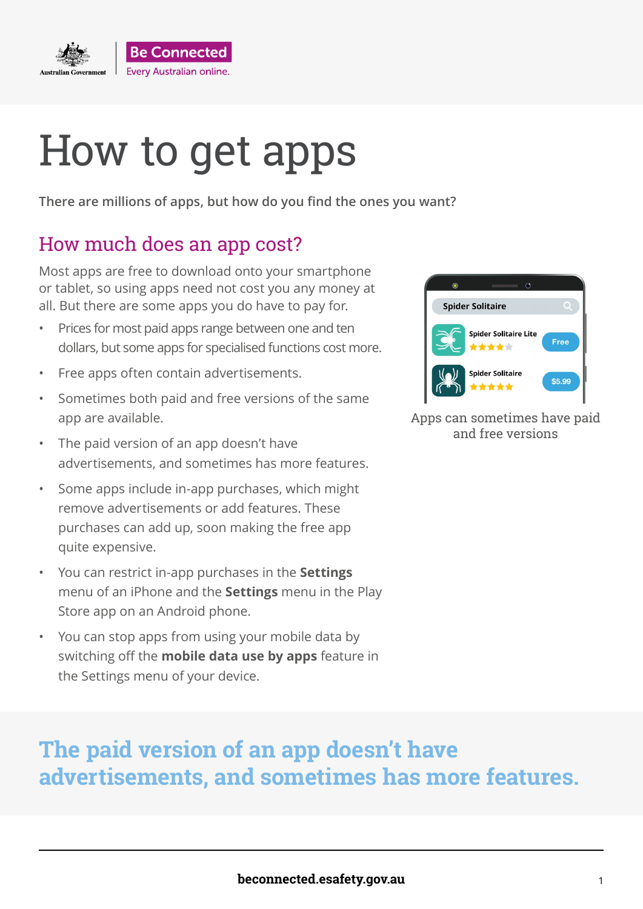

# How to get apps

**There are millions of apps, but how do you find the ones you want?**

#### How much does an app cost?

Most apps are free to download onto your smartphone or tablet, so using apps need not cost you any money at all. But there are some apps you do have to pay for.

- Prices for most paid apps range between one and ten dollars, but some apps for specialised functions cost more.
- Free apps often contain advertisements.
- Sometimes both paid and free versions of the same app are available.
- The paid version of an app doesn't have advertisements, and sometimes has more features.
- Some apps include in-app purchases, which might remove advertisements or add features. These purchases can add up, soon making the free app quite expensive.
- You can restrict in-app purchases in the **Settings** menu of an iPhone and the **Settings** menu in the Play Store app on an Android phone.
- You can stop apps from using your mobile data by switching off the **mobile data use by apps** feature in the Settings menu of your device.



Apps can sometimes have paid and free versions

### **The paid version of an app doesn't have advertisements, and sometimes has more features.**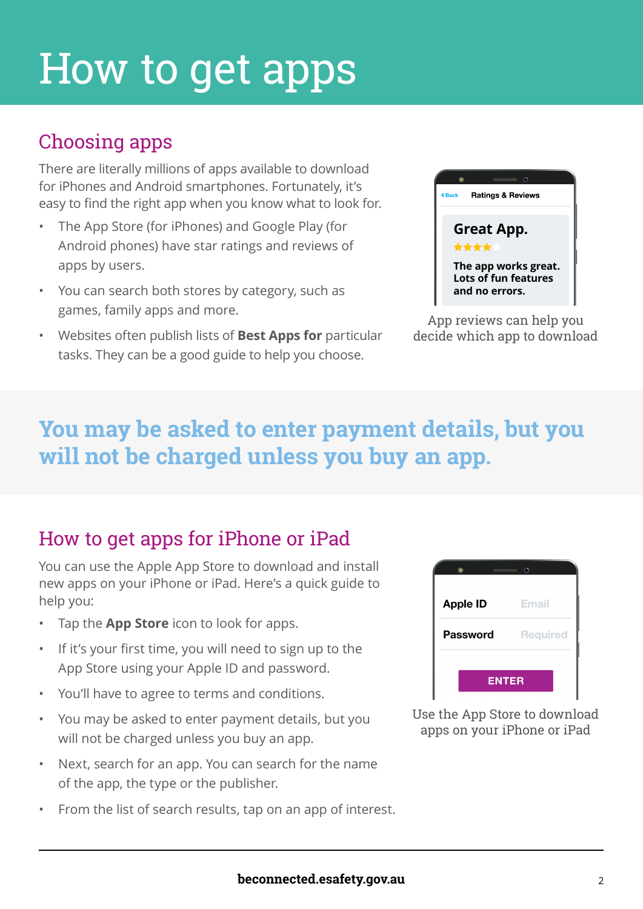## How to get apps

#### Choosing apps

There are literally millions of apps available to download for iPhones and Android smartphones. Fortunately, it's easy to find the right app when you know what to look for.

- The App Store (for iPhones) and Google Play (for Android phones) have star ratings and reviews of apps by users.
- You can search both stores by category, such as games, family apps and more.
- Websites often publish lists of **Best Apps for** particular tasks. They can be a good guide to help you choose.



App reviews can help you decide which app to download

### **You may be asked to enter payment details, but you will not be charged unless you buy an app.**

#### How to get apps for iPhone or iPad

You can use the Apple App Store to download and install new apps on your iPhone or iPad. Here's a quick guide to help you:

- Tap the **App Store** icon to look for apps.
- If it's your first time, you will need to sign up to the App Store using your Apple ID and password.
- You'll have to agree to terms and conditions.
- You may be asked to enter payment details, but you will not be charged unless you buy an app.
- Next, search for an app. You can search for the name of the app, the type or the publisher.
- From the list of search results, tap on an app of interest.



Use the App Store to download apps on your iPhone or iPad